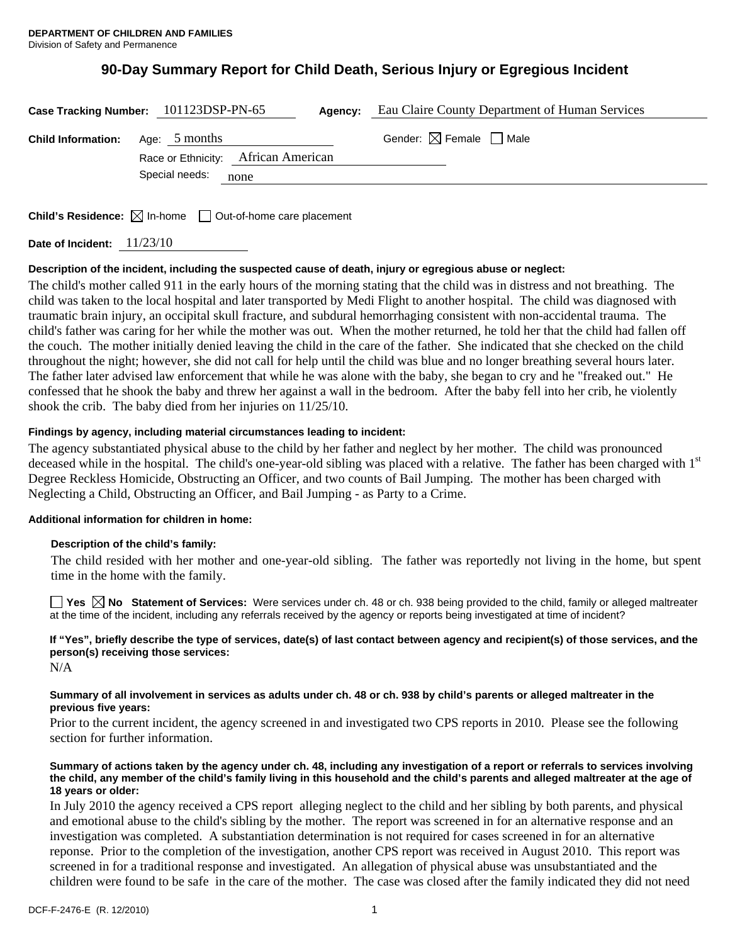# **90-Day Summary Report for Child Death, Serious Injury or Egregious Incident**

| Case Tracking Number: 101123DSP-PN-65   |                                     | Agency: | Eau Claire County Department of Human Services |
|-----------------------------------------|-------------------------------------|---------|------------------------------------------------|
| <b>Child Information:</b> Age: 5 months | Race or Ethnicity: African American |         | Gender: $\boxtimes$ Female $\Box$ Male         |
|                                         | Special needs:                      | none    |                                                |
|                                         |                                     |         |                                                |

**Child's Residence:**  $\boxtimes$  In-home  $\Box$  Out-of-home care placement

**Date of Incident:** 11/23/10

# **Description of the incident, including the suspected cause of death, injury or egregious abuse or neglect:**

The child's mother called 911 in the early hours of the morning stating that the child was in distress and not breathing. The child was taken to the local hospital and later transported by Medi Flight to another hospital. The child was diagnosed with traumatic brain injury, an occipital skull fracture, and subdural hemorrhaging consistent with non-accidental trauma. The child's father was caring for her while the mother was out. When the mother returned, he told her that the child had fallen off the couch. The mother initially denied leaving the child in the care of the father. She indicated that she checked on the child throughout the night; however, she did not call for help until the child was blue and no longer breathing several hours later. The father later advised law enforcement that while he was alone with the baby, she began to cry and he "freaked out." He confessed that he shook the baby and threw her against a wall in the bedroom. After the baby fell into her crib, he violently shook the crib. The baby died from her injuries on 11/25/10.

# **Findings by agency, including material circumstances leading to incident:**

The agency substantiated physical abuse to the child by her father and neglect by her mother. The child was pronounced deceased while in the hospital. The child's one-year-old sibling was placed with a relative. The father has been charged with 1<sup>st</sup> Degree Reckless Homicide, Obstructing an Officer, and two counts of Bail Jumping. The mother has been charged with Neglecting a Child, Obstructing an Officer, and Bail Jumping - as Party to a Crime.

# **Additional information for children in home:**

# **Description of the child's family:**

 The child resided with her mother and one-year-old sibling. The father was reportedly not living in the home, but spent time in the home with the family.

**Yes No Statement of Services:** Were services under ch. 48 or ch. 938 being provided to the child, family or alleged maltreater at the time of the incident, including any referrals received by the agency or reports being investigated at time of incident?

# **If "Yes", briefly describe the type of services, date(s) of last contact between agency and recipient(s) of those services, and the person(s) receiving those services:**

N/A

#### **Summary of all involvement in services as adults under ch. 48 or ch. 938 by child's parents or alleged maltreater in the previous five years:**

Prior to the current incident, the agency screened in and investigated two CPS reports in 2010. Please see the following section for further information.

#### **Summary of actions taken by the agency under ch. 48, including any investigation of a report or referrals to services involving the child, any member of the child's family living in this household and the child's parents and alleged maltreater at the age of 18 years or older:**

In July 2010 the agency received a CPS report alleging neglect to the child and her sibling by both parents, and physical and emotional abuse to the child's sibling by the mother. The report was screened in for an alternative response and an investigation was completed. A substantiation determination is not required for cases screened in for an alternative reponse. Prior to the completion of the investigation, another CPS report was received in August 2010. This report was screened in for a traditional response and investigated. An allegation of physical abuse was unsubstantiated and the children were found to be safe in the care of the mother. The case was closed after the family indicated they did not need